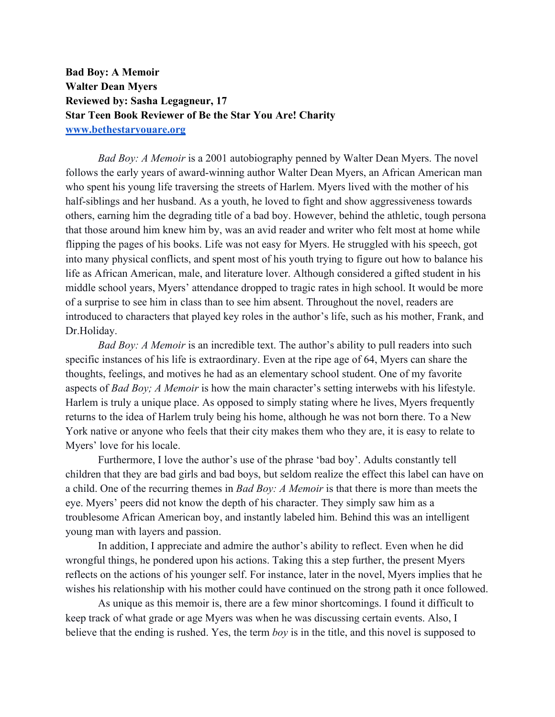**Bad Boy: A Memoir Walter Dean Myers Reviewed by: Sasha Legagneur, 17 Star Teen Book Reviewer of Be the Star You Are! Charity www.bethestaryouare.org**

*Bad Boy: A Memoir* is a 2001 autobiography penned by Walter Dean Myers. The novel follows the early years of award-winning author Walter Dean Myers, an African American man who spent his young life traversing the streets of Harlem. Myers lived with the mother of his half-siblings and her husband. As a youth, he loved to fight and show aggressiveness towards others, earning him the degrading title of a bad boy. However, behind the athletic, tough persona that those around him knew him by, was an avid reader and writer who felt most at home while flipping the pages of his books. Life was not easy for Myers. He struggled with his speech, got into many physical conflicts, and spent most of his youth trying to figure out how to balance his life as African American, male, and literature lover. Although considered a gifted student in his middle school years, Myers' attendance dropped to tragic rates in high school. It would be more of a surprise to see him in class than to see him absent. Throughout the novel, readers are introduced to characters that played key roles in the author's life, such as his mother, Frank, and Dr.Holiday.

*Bad Boy: A Memoir* is an incredible text. The author's ability to pull readers into such specific instances of his life is extraordinary. Even at the ripe age of 64, Myers can share the thoughts, feelings, and motives he had as an elementary school student. One of my favorite aspects of *Bad Boy; A Memoir* is how the main character's setting interwebs with his lifestyle. Harlem is truly a unique place. As opposed to simply stating where he lives, Myers frequently returns to the idea of Harlem truly being his home, although he was not born there. To a New York native or anyone who feels that their city makes them who they are, it is easy to relate to Myers' love for his locale.

Furthermore, I love the author's use of the phrase 'bad boy'. Adults constantly tell children that they are bad girls and bad boys, but seldom realize the effect this label can have on a child. One of the recurring themes in *Bad Boy: A Memoir* is that there is more than meets the eye. Myers' peers did not know the depth of his character. They simply saw him as a troublesome African American boy, and instantly labeled him. Behind this was an intelligent young man with layers and passion.

In addition, I appreciate and admire the author's ability to reflect. Even when he did wrongful things, he pondered upon his actions. Taking this a step further, the present Myers reflects on the actions of his younger self. For instance, later in the novel, Myers implies that he wishes his relationship with his mother could have continued on the strong path it once followed.

As unique as this memoir is, there are a few minor shortcomings. I found it difficult to keep track of what grade or age Myers was when he was discussing certain events. Also, I believe that the ending is rushed. Yes, the term *boy* is in the title, and this novel is supposed to